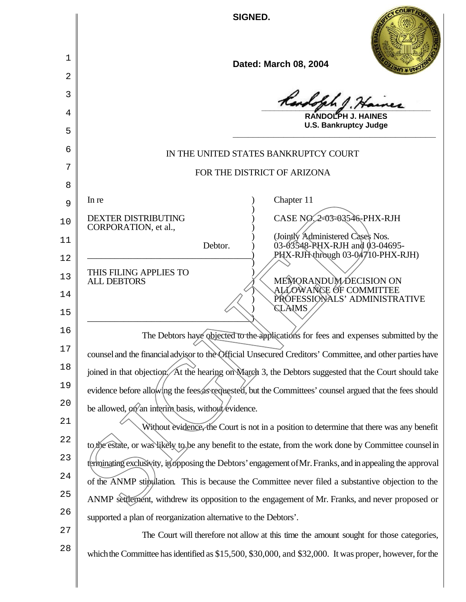**SIGNED.**

| a, |
|----|
|    |

**\_\_\_\_\_\_\_\_\_\_\_\_\_\_\_\_\_\_\_\_\_\_\_\_\_\_\_\_\_\_\_\_\_\_\_\_\_\_\_\_**

**RANDOLPH J. HAINES U.S. Bankruptcy Judge \_\_\_\_\_\_\_\_\_\_\_\_\_\_\_\_\_\_\_\_\_\_\_\_\_\_\_\_\_\_\_\_\_\_\_\_\_\_\_\_**

## IN THE UNITED STATES BANKRUPTCY COURT

## FOR THE DISTRICT OF ARIZONA

In re a contract of the contract of the contract of the contract of the contract of the contract of the contract of the contract of the contract of the contract of the contract of the contract of the contract of the contra ) DEXTER DISTRIBUTING  $\overrightarrow{O}$  CASE NO. 2-03-03546-PHX-RJH

1

2

3

4

5

6

7

8

9

10

CORPORATION, et al.,

THIS FILING APPLIES TO<br>ALL DEBTORS

 $\bigcup$ 

11

12

13

14

15

) (Jointly Administered Cases Nos. Debtor. ) 03-03548-PHX-RJH and 03-04695- $P$ HX-RJH through 03-04710-PHX-RJH)

> MEMORANDUM DECISION ON ) ALLOWANCE OF COMMITTEE ) PROFESSIONALS' ADMINISTRATIVE ) CLAIMS

16 17 18 19  $2.0$ The Debtors have objected to the applications for fees and expenses submitted by the counsel and the financial advisor to the Official Unsecured Creditors' Committee, and other parties have joined in that objection. At the hearing on March 3, the Debtors suggested that the Court should take evidence before allowing the fees as requested, but the Committees' counsel argued that the fees should be allowed,  $\phi$ n an interim basis, without evidence.

)

21 22 23 24 25 26 Without evidence, the Court is not in a position to determine that there was any benefit to the estate, or was likely to be any benefit to the estate, from the work done by Committee counselin terminating exclusivity, in opposing the Debtors' engagement of Mr. Franks, and in appealing the approval of the ANMP stipulation. This is because the Committee never filed a substantive objection to the ANMP settlement, withdrew its opposition to the engagement of Mr. Franks, and never proposed or supported a plan of reorganization alternative to the Debtors'. The DENTRIBUTING<br>
DEXTER DISTRIBUTING<br>
CORPORATION, et al.,<br>
Debtor.<br>
Debtor.<br>
Debtor.<br>
Debtor.<br>
Debtor.<br>
Debtor.<br>
Debtor.<br>
OSSES APS-NEX-RJH and D3-04695-<br>
DESTORS<br>
THIS FILING APPLIES TO<br>
OSSES APS-NEX-RJH and D3-04695-<br>

27 28 The Court will therefore not allow at this time the amount sought for those categories, which the Committee has identified as \$15,500, \$30,000, and \$32,000. It was proper, however, for the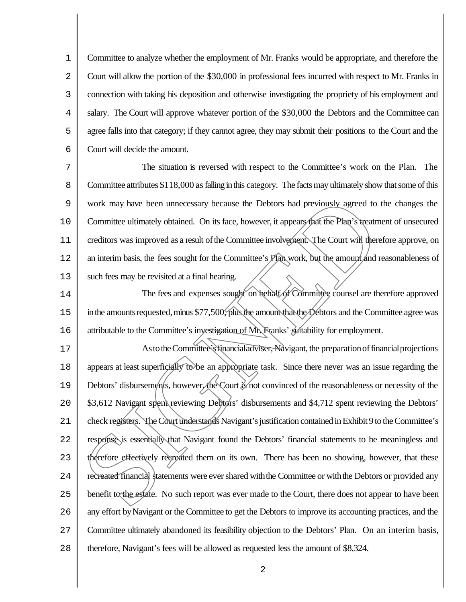1 2 3 4 5 6 Committee to analyze whether the employment of Mr. Franks would be appropriate, and therefore the Court will allow the portion of the \$30,000 in professional fees incurred with respect to Mr. Franks in connection with taking his deposition and otherwise investigating the propriety of his employment and salary. The Court will approve whatever portion of the \$30,000 the Debtors and the Committee can agree falls into that category; if they cannot agree, they may submit their positions to the Court and the Court will decide the amount.

7 8 9 10 11 12 13 The situation is reversed with respect to the Committee's work on the Plan. The Committee attributes \$118,000 as falling in this category. The facts may ultimately show that some of this work may have been unnecessary because the Debtors had previously agreed to the changes the Committee ultimately obtained. On its face, however, it appears that the Plan's treatment of unsecured creditors was improved as a result of the Committee involvement. The Court will therefore approve, on an interim basis, the fees sought for the Committee's Plan work, but the amount/and reasonableness of such fees may be revisited at a final hearing.

14 15 16 The fees and expenses sought on behalf of Committee counsel are therefore approved in the amounts requested, minus \$77,500, plus the amount that the  $D$ ebtors and the Committee agree was attributable to the Committee's investigation of Mr. Franks' suitability for employment.

17 18 19  $2.0$ 21 22 23  $2.4$ 25 26 27 28 As to the Committee's financial adviser, Navigant, the preparation of financial projections appears at least superficially to be an appropriate task. Since there never was an issue regarding the Debtors' disbursements, however, the Court is not convinced of the reasonableness or necessity of the \$3,612 Navigant spent reviewing Debtors' disbursements and \$4,712 spent reviewing the Debtors' check registers. The Court understands Navigant's justification contained in Exhibit 9 to the Committee's response is essentially that Navigant found the Debtors' financial statements to be meaningless and therefore effectively recreated them on its own. There has been no showing, however, that these recreated financial statements were ever shared with the Committee or with the Debtors or provided any benefit to the estate. No such report was ever made to the Court, there does not appear to have been any effort byNavigant or the Committee to get the Debtors to improve its accounting practices, and the Committee ultimately abandoned its feasibility objection to the Debtors' Plan. On an interim basis, therefore, Navigant's fees will be allowed as requested less the amount of \$8,324. work may have been unnecessary because the Debtors had previously agreed to 1<br>Committee ultimately obtained. On its face, however, it appears that the Pian's treatm<br>creditors was improved as a result of the Committee invol